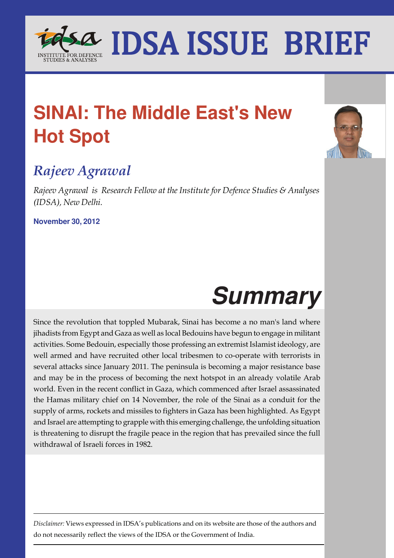

## **SINAI: The Middle East's New Hot Spot**

### *Rajeev Agrawal*

*Rajeev Agrawal is Research Fellow at the Institute for Defence Studies & Analyses (IDSA), New Delhi.*

**November 30, 2012**

# **Summary**

Since the revolution that toppled Mubarak, Sinai has become a no man's land where jihadists from Egypt and Gaza as well as local Bedouins have begun to engage in militant activities. Some Bedouin, especially those professing an extremist Islamist ideology, are well armed and have recruited other local tribesmen to co-operate with terrorists in several attacks since January 2011. The peninsula is becoming a major resistance base and may be in the process of becoming the next hotspot in an already volatile Arab world. Even in the recent conflict in Gaza, which commenced after Israel assassinated the Hamas military chief on 14 November, the role of the Sinai as a conduit for the supply of arms, rockets and missiles to fighters in Gaza has been highlighted. As Egypt and Israel are attempting to grapple with this emerging challenge, the unfolding situation is threatening to disrupt the fragile peace in the region that has prevailed since the full withdrawal of Israeli forces in 1982.

*Disclaimer:* Views expressed in IDSA's publications and on its website are those of the authors and do not necessarily reflect the views of the IDSA or the Government of India.

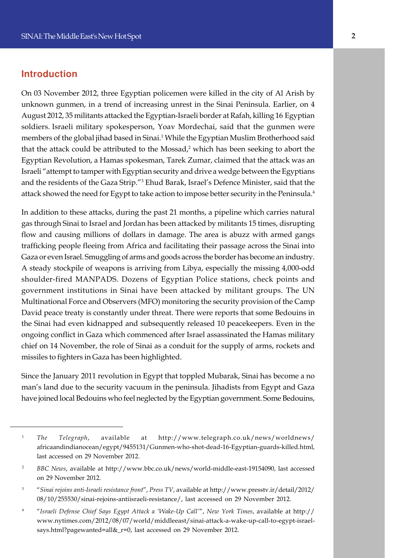#### **Introduction**

e soldiers. Israeli military spokesperson, Yoav Mordechai, said that the gunmen were On 03 November 2012, three Egyptian policemen were killed in the city of Al Arish by unknown gunmen, in a trend of increasing unrest in the Sinai Peninsula. Earlier, on 4 August 2012, 35 militants attacked the Egyptian-Israeli border at Rafah, killing 16 Egyptian members of the global jihad based in Sinai.<sup>1</sup> While the Egyptian Muslim Brotherhood said that the attack could be attributed to the Mossad,<sup>2</sup> which has been seeking to abort the Egyptian Revolution, a Hamas spokesman, Tarek Zumar, claimed that the attack was an Israeli "attempt to tamper with Egyptian security and drive a wedge between the Egyptians and the residents of the Gaza Strip."<sup>3</sup> Ehud Barak, Israel's Defence Minister, said that the attack showed the need for Egypt to take action to impose better security in the Peninsula.<sup>4</sup>

In addition to these attacks, during the past 21 months, a pipeline which carries natural gas through Sinai to Israel and Jordan has been attacked by militants 15 times, disrupting flow and causing millions of dollars in damage. The area is abuzz with armed gangs trafficking people fleeing from Africa and facilitating their passage across the Sinai into Gaza or even Israel. Smuggling of arms and goods across the border has become an industry. A steady stockpile of weapons is arriving from Libya, especially the missing 4,000-odd shoulder-fired MANPADS. Dozens of Egyptian Police stations, check points and government institutions in Sinai have been attacked by militant groups. The UN Multinational Force and Observers (MFO) monitoring the security provision of the Camp David peace treaty is constantly under threat. There were reports that some Bedouins in the Sinai had even kidnapped and subsequently released 10 peacekeepers. Even in the ongoing conflict in Gaza which commenced after Israel assassinated the Hamas military chief on 14 November, the role of Sinai as a conduit for the supply of arms, rockets and missiles to fighters in Gaza has been highlighted.

Since the January 2011 revolution in Egypt that toppled Mubarak, Sinai has become a no man's land due to the security vacuum in the peninsula. Jihadists from Egypt and Gaza have joined local Bedouins who feel neglected by the Egyptian government. Some Bedouins,

<sup>1</sup> *The Telegraph*, available at http://www.telegraph.co.uk/news/worldnews/ africaandindianocean/egypt/9455131/Gunmen-who-shot-dead-16-Egyptian-guards-killed.html, last accessed on 29 November 2012.

<sup>&</sup>lt;sup>2</sup> *BBC News, available at http://www.bbc.co.uk/news/world-middle-east-19154090, last accessed* on 29 November 2012.

<sup>3</sup> "*Sinai rejoins anti-Israeli resistance front*", *Press TV*, available at http://www.presstv.ir/detail/2012/ 08/10/255530/sinai-rejoins-antiisraeli-resistance/, last accessed on 29 November 2012.

<sup>4</sup> "*Israeli Defense Chief Says Egypt Attack a 'Wake-Up Call'*", *New York Times*, available at http:// www.nytimes.com/2012/08/07/world/middleeast/sinai-attack-a-wake-up-call-to-egypt-israelsays.html?pagewanted=all&\_r=0, last accessed on 29 November 2012.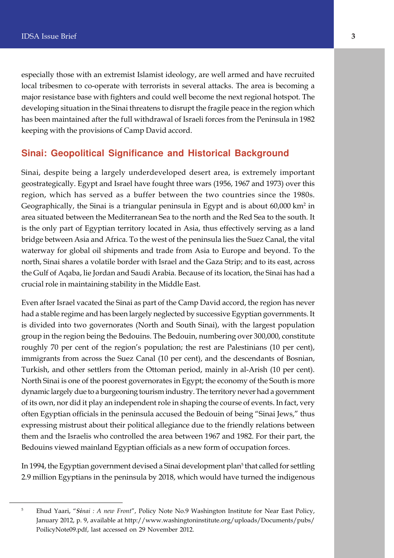especially those with an extremist Islamist ideology, are well armed and have recruited local tribesmen to co-operate with terrorists in several attacks. The area is becoming a major resistance base with fighters and could well become the next regional hotspot. The developing situation in the Sinai threatens to disrupt the fragile peace in the region which has been maintained after the full withdrawal of Israeli forces from the Peninsula in 1982 keeping with the provisions of Camp David accord.

#### **Sinai: Geopolitical Significance and Historical Background**

Sinai, despite being a largely underdeveloped desert area, is extremely important geostrategically. Egypt and Israel have fought three wars (1956, 1967 and 1973) over this region, which has served as a buffer between the two countries since the 1980s. Geographically, the Sinai is a triangular peninsula in Egypt and is about 60,000 km<sup>2</sup> in area situated between the Mediterranean Sea to the north and the Red Sea to the south. It is the only part of Egyptian territory located in Asia, thus effectively serving as a land bridge between Asia and Africa. To the west of the peninsula lies the Suez Canal, the vital waterway for global oil shipments and trade from Asia to Europe and beyond. To the north, Sinai shares a volatile border with Israel and the Gaza Strip; and to its east, across the Gulf of Aqaba, lie Jordan and Saudi Arabia. Because of its location, the Sinai has had a crucial role in maintaining stability in the Middle East.

Even after Israel vacated the Sinai as part of the Camp David accord, the region has never had a stable regime and has been largely neglected by successive Egyptian governments. It is divided into two governorates (North and South Sinai), with the largest population group in the region being the Bedouins. The Bedouin, numbering over 300,000, constitute roughly 70 per cent of the region's population; the rest are Palestinians (10 per cent), immigrants from across the Suez Canal (10 per cent), and the descendants of Bosnian, Turkish, and other settlers from the Ottoman period, mainly in al-Arish (10 per cent). North Sinai is one of the poorest governorates in Egypt; the economy of the South is more dynamic largely due to a burgeoning tourism industry. The territory never had a government of its own, nor did it play an independent role in shaping the course of events. In fact, very often Egyptian officials in the peninsula accused the Bedouin of being "Sinai Jews," thus expressing mistrust about their political allegiance due to the friendly relations between them and the Israelis who controlled the area between 1967 and 1982. For their part, the Bedouins viewed mainland Egyptian officials as a new form of occupation forces.

In 1994, the Egyptian government devised a Sinai development plan<sup>5</sup> that called for settling 2.9 million Egyptians in the peninsula by 2018, which would have turned the indigenous

<sup>5</sup> Ehud Yaari, "*Sinai : A new Front*", Policy Note No.9 Washington Institute for Near East Policy, January 2012, p. 9, available at http://www.washingtoninstitute.org/uploads/Documents/pubs/ PoilicyNote09.pdf, last accessed on 29 November 2012.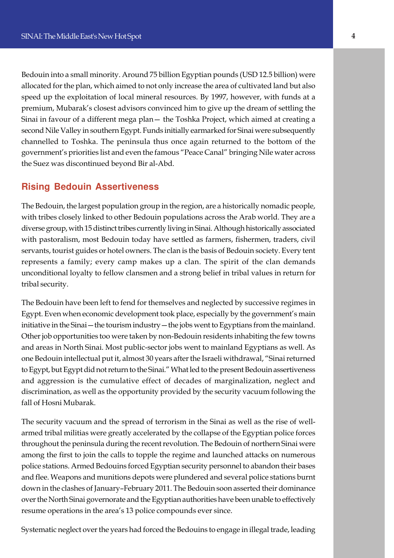e second Nile Valley in southern Egypt. Funds initially earmarked for Sinai were subsequently Bedouin into a small minority. Around 75 billion Egyptian pounds (USD 12.5 billion) were allocated for the plan, which aimed to not only increase the area of cultivated land but also speed up the exploitation of local mineral resources. By 1997, however, with funds at a premium, Mubarak's closest advisors convinced him to give up the dream of settling the Sinai in favour of a different mega plan— the Toshka Project, which aimed at creating a channelled to Toshka. The peninsula thus once again returned to the bottom of the government's priorities list and even the famous "Peace Canal" bringing Nile water across the Suez was discontinued beyond Bir al-Abd.

#### **Rising Bedouin Assertiveness**

The Bedouin, the largest population group in the region, are a historically nomadic people, with tribes closely linked to other Bedouin populations across the Arab world. They are a diverse group, with 15 distinct tribes currently living in Sinai. Although historically associated with pastoralism, most Bedouin today have settled as farmers, fishermen, traders, civil servants, tourist guides or hotel owners. The clan is the basis of Bedouin society. Every tent represents a family; every camp makes up a clan. The spirit of the clan demands unconditional loyalty to fellow clansmen and a strong belief in tribal values in return for tribal security.

The Bedouin have been left to fend for themselves and neglected by successive regimes in Egypt. Even when economic development took place, especially by the government's main initiative in the Sinai—the tourism industry—the jobs went to Egyptians from the mainland. Other job opportunities too were taken by non-Bedouin residents inhabiting the few towns and areas in North Sinai. Most public-sector jobs went to mainland Egyptians as well. As one Bedouin intellectual put it, almost 30 years after the Israeli withdrawal, "Sinai returned to Egypt, but Egypt did not return to the Sinai." What led to the present Bedouin assertiveness and aggression is the cumulative effect of decades of marginalization, neglect and discrimination, as well as the opportunity provided by the security vacuum following the fall of Hosni Mubarak.

The security vacuum and the spread of terrorism in the Sinai as well as the rise of wellarmed tribal militias were greatly accelerated by the collapse of the Egyptian police forces throughout the peninsula during the recent revolution. The Bedouin of northern Sinai were among the first to join the calls to topple the regime and launched attacks on numerous police stations. Armed Bedouins forced Egyptian security personnel to abandon their bases and flee. Weapons and munitions depots were plundered and several police stations burnt down in the clashes of January–February 2011. The Bedouin soon asserted their dominance over the North Sinai governorate and the Egyptian authorities have been unable to effectively resume operations in the area's 13 police compounds ever since.

Systematic neglect over the years had forced the Bedouins to engage in illegal trade, leading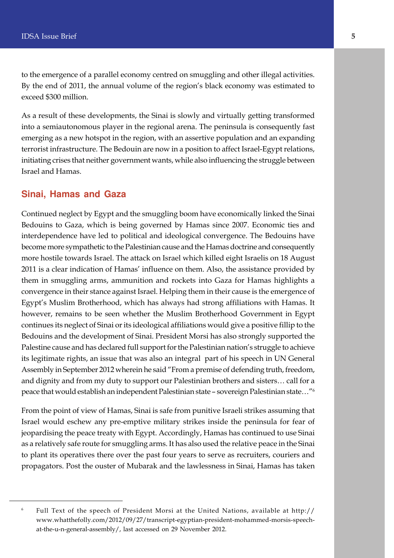to the emergence of a parallel economy centred on smuggling and other illegal activities. By the end of 2011, the annual volume of the region's black economy was estimated to exceed \$300 million.

As a result of these developments, the Sinai is slowly and virtually getting transformed into a semiautonomous player in the regional arena. The peninsula is consequently fast emerging as a new hotspot in the region, with an assertive population and an expanding terrorist infrastructure. The Bedouin are now in a position to affect Israel-Egypt relations, initiating crises that neither government wants, while also influencing the struggle between Israel and Hamas.

#### **Sinai, Hamas and Gaza**

Continued neglect by Egypt and the smuggling boom have economically linked the Sinai Bedouins to Gaza, which is being governed by Hamas since 2007. Economic ties and interdependence have led to political and ideological convergence. The Bedouins have become more sympathetic to the Palestinian cause and the Hamas doctrine and consequently more hostile towards Israel. The attack on Israel which killed eight Israelis on 18 August 2011 is a clear indication of Hamas' influence on them. Also, the assistance provided by them in smuggling arms, ammunition and rockets into Gaza for Hamas highlights a convergence in their stance against Israel. Helping them in their cause is the emergence of Egypt's Muslim Brotherhood, which has always had strong affiliations with Hamas. It however, remains to be seen whether the Muslim Brotherhood Government in Egypt continues its neglect of Sinai or its ideological affiliations would give a positive fillip to the Bedouins and the development of Sinai. President Morsi has also strongly supported the Palestine cause and has declared full support for the Palestinian nation's struggle to achieve its legitimate rights, an issue that was also an integral part of his speech in UN General Assembly in September 2012 wherein he said "From a premise of defending truth, freedom, and dignity and from my duty to support our Palestinian brothers and sisters… call for a peace that would establish an independent Palestinian state – sovereign Palestinian state…"<sup>6</sup>

From the point of view of Hamas, Sinai is safe from punitive Israeli strikes assuming that Israel would eschew any pre-emptive military strikes inside the peninsula for fear of jeopardising the peace treaty with Egypt. Accordingly, Hamas has continued to use Sinai as a relatively safe route for smuggling arms. It has also used the relative peace in the Sinai to plant its operatives there over the past four years to serve as recruiters, couriers and propagators. Post the ouster of Mubarak and the lawlessness in Sinai, Hamas has taken

<sup>6</sup> Full Text of the speech of President Morsi at the United Nations, available at http:// www.whatthefolly.com/2012/09/27/transcript-egyptian-president-mohammed-morsis-speechat-the-u-n-general-assembly/, last accessed on 29 November 2012.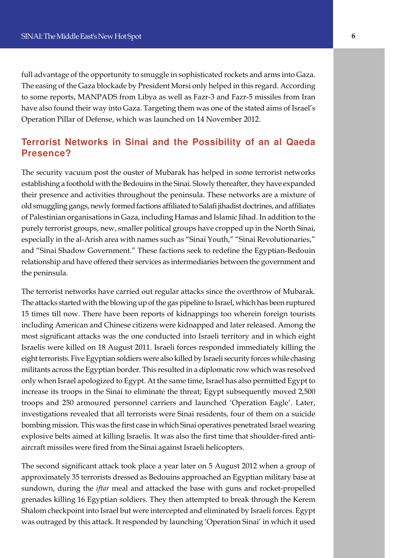full advantage of the opportunity to smuggle in sophisticated rockets and arms into Gaza. The easing of the Gaza blockade by President Morsi only helped in this regard. According to some reports, MANPADS from Libya as well as Fazr-3 and Fazr-5 missiles from Iran have also found their way into Gaza. Targeting them was one of the stated aims of Israel's Operation Pillar of Defense, which was launched on 14 November 2012.

#### **Terrorist Networks in Sinai and the Possibility of an al Qaeda Presence?**

The security vacuum post the ouster of Mubarak has helped in some terrorist networks establishing a foothold with the Bedouins in the Sinai. Slowly thereafter, they have expanded their presence and activities throughout the peninsula. These networks are a mixture of old smuggling gangs, newly formed factions affiliated to Salafi jihadist doctrines, and affiliates of Palestinian organisations in Gaza, including Hamas and Islamic Jihad. In addition to the purely terrorist groups, new, smaller political groups have cropped up in the North Sinai, especially in the al-Arish area with names such as "Sinai Youth," "Sinai Revolutionaries," and "Sinai Shadow Government." These factions seek to redefine the Egyptian-Bedouin relationship and have offered their services as intermediaries between the government and the peninsula.

The terrorist networks have carried out regular attacks since the overthrow of Mubarak. The attacks started with the blowing up of the gas pipeline to Israel, which has been ruptured 15 times till now. There have been reports of kidnappings too wherein foreign tourists including American and Chinese citizens were kidnapped and later released. Among the most significant attacks was the one conducted into Israeli territory and in which eight Israelis were killed on 18 August 2011. Israeli forces responded immediately killing the eight terrorists. Five Egyptian soldiers were also killed by Israeli security forces while chasing militants across the Egyptian border. This resulted in a diplomatic row which was resolved only when Israel apologized to Egypt. At the same time, Israel has also permitted Egypt to increase its troops in the Sinai to eliminate the threat; Egypt subsequently moved 2,500 troops and 250 armoured personnel carriers and launched 'Operation Eagle'. Later, investigations revealed that all terrorists were Sinai residents, four of them on a suicide bombing mission. This was the first case in which Sinai operatives penetrated Israel wearing explosive belts aimed at killing Israelis. It was also the first time that shoulder-fired antiaircraft missiles were fired from the Sinai against Israeli helicopters.

The second significant attack took place a year later on 5 August 2012 when a group of approximately 35 terrorists dressed as Bedouins approached an Egyptian military base at sundown, during the *iftar* meal and attacked the base with guns and rocket-propelled grenades killing 16 Egyptian soldiers. They then attempted to break through the Kerem Shalom checkpoint into Israel but were intercepted and eliminated by Israeli forces. Egypt was outraged by this attack. It responded by launching 'Operation Sinai' in which it used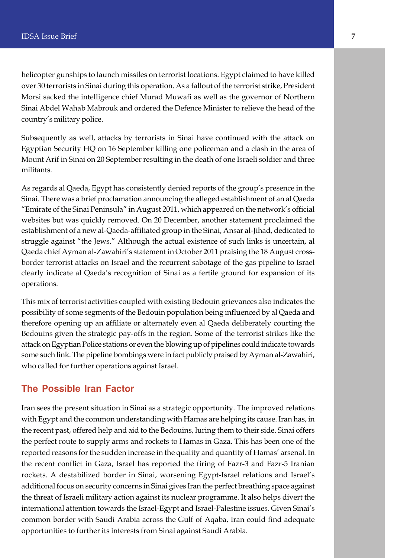helicopter gunships to launch missiles on terrorist locations. Egypt claimed to have killed over 30 terrorists in Sinai during this operation. As a fallout of the terrorist strike, President Morsi sacked the intelligence chief Murad Muwafi as well as the governor of Northern Sinai Abdel Wahab Mabrouk and ordered the Defence Minister to relieve the head of the country's military police.

Subsequently as well, attacks by terrorists in Sinai have continued with the attack on Egyptian Security HQ on 16 September killing one policeman and a clash in the area of Mount Arif in Sinai on 20 September resulting in the death of one Israeli soldier and three militants.

As regards al Qaeda, Egypt has consistently denied reports of the group's presence in the Sinai. There was a brief proclamation announcing the alleged establishment of an al Qaeda "Emirate of the Sinai Peninsula" in August 2011, which appeared on the network's official websites but was quickly removed. On 20 December, another statement proclaimed the establishment of a new al-Qaeda-affiliated group in the Sinai, Ansar al-Jihad, dedicated to struggle against "the Jews." Although the actual existence of such links is uncertain, al Qaeda chief Ayman al-Zawahiri's statement in October 2011 praising the 18 August crossborder terrorist attacks on Israel and the recurrent sabotage of the gas pipeline to Israel clearly indicate al Qaeda's recognition of Sinai as a fertile ground for expansion of its operations.

This mix of terrorist activities coupled with existing Bedouin grievances also indicates the possibility of some segments of the Bedouin population being influenced by al Qaeda and therefore opening up an affiliate or alternately even al Qaeda deliberately courting the Bedouins given the strategic pay-offs in the region. Some of the terrorist strikes like the attack on Egyptian Police stations or even the blowing up of pipelines could indicate towards some such link. The pipeline bombings were in fact publicly praised by Ayman al-Zawahiri, who called for further operations against Israel.

#### **The Possible Iran Factor**

Iran sees the present situation in Sinai as a strategic opportunity. The improved relations with Egypt and the common understanding with Hamas are helping its cause. Iran has, in the recent past, offered help and aid to the Bedouins, luring them to their side. Sinai offers the perfect route to supply arms and rockets to Hamas in Gaza. This has been one of the reported reasons for the sudden increase in the quality and quantity of Hamas' arsenal. In the recent conflict in Gaza, Israel has reported the firing of Fazr-3 and Fazr-5 Iranian rockets. A destabilized border in Sinai, worsening Egypt-Israel relations and Israel's additional focus on security concerns in Sinai gives Iran the perfect breathing space against the threat of Israeli military action against its nuclear programme. It also helps divert the international attention towards the Israel-Egypt and Israel-Palestine issues. Given Sinai's common border with Saudi Arabia across the Gulf of Aqaba, Iran could find adequate opportunities to further its interests from Sinai against Saudi Arabia.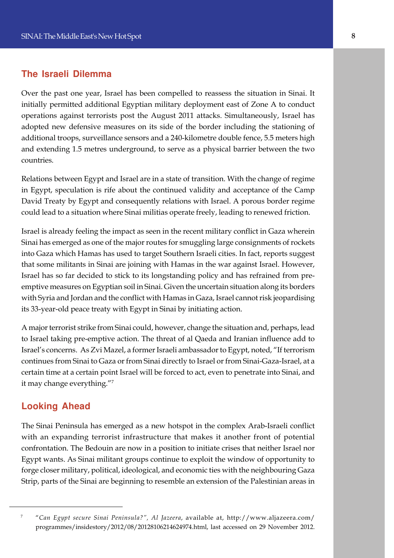#### **The Israeli Dilemma**

e adopted new defensive measures on its side of the border including the stationing of Over the past one year, Israel has been compelled to reassess the situation in Sinai. It initially permitted additional Egyptian military deployment east of Zone A to conduct operations against terrorists post the August 2011 attacks. Simultaneously, Israel has additional troops, surveillance sensors and a 240-kilometre double fence, 5.5 meters high and extending 1.5 metres underground, to serve as a physical barrier between the two countries.

Relations between Egypt and Israel are in a state of transition. With the change of regime in Egypt, speculation is rife about the continued validity and acceptance of the Camp David Treaty by Egypt and consequently relations with Israel. A porous border regime could lead to a situation where Sinai militias operate freely, leading to renewed friction.

Israel is already feeling the impact as seen in the recent military conflict in Gaza wherein Sinai has emerged as one of the major routes for smuggling large consignments of rockets into Gaza which Hamas has used to target Southern Israeli cities. In fact, reports suggest that some militants in Sinai are joining with Hamas in the war against Israel. However, Israel has so far decided to stick to its longstanding policy and has refrained from preemptive measures on Egyptian soil in Sinai. Given the uncertain situation along its borders with Syria and Jordan and the conflict with Hamas in Gaza, Israel cannot risk jeopardising its 33-year-old peace treaty with Egypt in Sinai by initiating action.

A major terrorist strike from Sinai could, however, change the situation and, perhaps, lead to Israel taking pre-emptive action. The threat of al Qaeda and Iranian influence add to Israel's concerns. As Zvi Mazel, a former Israeli ambassador to Egypt, noted, "If terrorism continues from Sinai to Gaza or from Sinai directly to Israel or from Sinai-Gaza-Israel, at a certain time at a certain point Israel will be forced to act, even to penetrate into Sinai, and it may change everything."<sup>7</sup>

#### **Looking Ahead**

The Sinai Peninsula has emerged as a new hotspot in the complex Arab-Israeli conflict with an expanding terrorist infrastructure that makes it another front of potential confrontation. The Bedouin are now in a position to initiate crises that neither Israel nor Egypt wants. As Sinai militant groups continue to exploit the window of opportunity to forge closer military, political, ideological, and economic ties with the neighbouring Gaza Strip, parts of the Sinai are beginning to resemble an extension of the Palestinian areas in

<sup>7</sup> "*Can Egypt secure Sinai Peninsula?", Al Jazeera*, available at, http://www.aljazeera.com/ programmes/insidestory/2012/08/20128106214624974.html, last accessed on 29 November 2012.